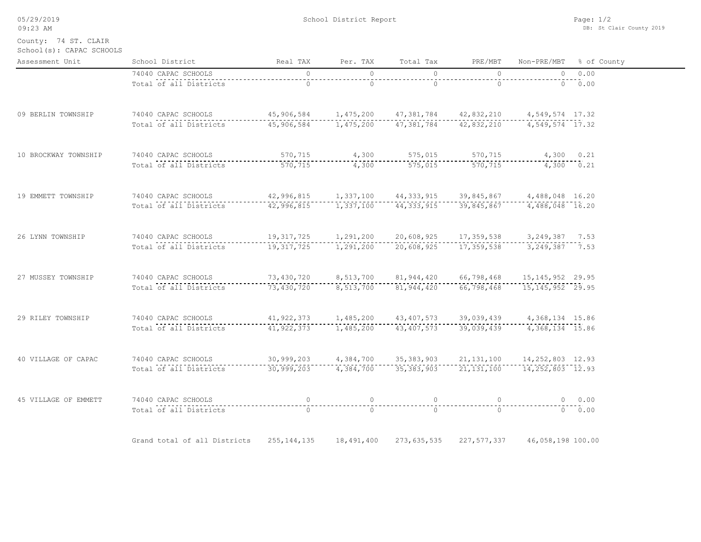| 05/29/2019 |  |
|------------|--|
| 09:23 AM   |  |

School(s): CAPAC SCHOOLS County: 74 ST. CLAIR

| Assessment Unit      | School District                                                                                                                                                   | Real TAX                                                                           |               | Per. TAX Total Tax | PRE/MBT        |                    | Non-PRE/MBT % of County |
|----------------------|-------------------------------------------------------------------------------------------------------------------------------------------------------------------|------------------------------------------------------------------------------------|---------------|--------------------|----------------|--------------------|-------------------------|
|                      | 74040 CAPAC SCHOOLS                                                                                                                                               | $\begin{array}{c c}\n\hline\n\end{array}$                                          | $\bigcirc$    | $\bigcirc$         | $\overline{a}$ |                    | $0 \t 0.00$             |
|                      | Total of all Districts                                                                                                                                            | $--\frac{1}{0}$                                                                    | $\frac{1}{0}$ |                    | $--------$     | $\frac{1}{0}$ . 00 |                         |
| 09 BERLIN TOWNSHIP   | 74040 CAPAC SCHOOLS 45,906,584 1,475,200 47,381,784 42,832,210 4,549,574 17.32                                                                                    |                                                                                    |               |                    |                |                    |                         |
|                      |                                                                                                                                                                   |                                                                                    |               |                    |                |                    |                         |
| 10 BROCKWAY TOWNSHIP | 74040 CAPAC SCHOOLS 570,715 4,300 575,015 570,715 4,300 0.21<br>Total of all Districts 570,715 570,715 4,300 575,015 570,715 4,300 0.21                           |                                                                                    |               |                    |                |                    |                         |
|                      |                                                                                                                                                                   |                                                                                    |               |                    |                |                    |                         |
| 19 EMMETT TOWNSHIP   |                                                                                                                                                                   |                                                                                    |               |                    |                |                    |                         |
|                      | Total of all Districts                                                                                                                                            |                                                                                    |               |                    |                |                    |                         |
| 26 LYNN TOWNSHIP     | 74040 CAPAC SCHOOLS 19,317,725 1,291,200 20,608,925 17,359,538 3,249,387 7.53<br>Total of all Districts 19,317,725 1,291,200 20,608,925 17,359,538 3,249,387 7.53 |                                                                                    |               |                    |                |                    |                         |
|                      |                                                                                                                                                                   |                                                                                    |               |                    |                |                    |                         |
| 27 MUSSEY TOWNSHIP   | 74040 CAPAC SCHOOLS 73,430,720 8,513,700 81,944,420 66,798,468 15,145,952 29.95                                                                                   |                                                                                    |               |                    |                |                    |                         |
|                      | Total of all Districts 3,430,720 8,513,700 81,944,420 66,798,468 15,145,952 29.95                                                                                 |                                                                                    |               |                    |                |                    |                         |
| 29 RILEY TOWNSHIP    | 74040 CAPAC SCHOOLS 41, 922, 373 1, 485, 200 43, 407, 573 39, 039, 439 4, 368, 134 15.86                                                                          |                                                                                    |               |                    |                |                    |                         |
|                      | Total of all Districts                                                                                                                                            | ----41,922,373-------1,485,200-----43,407,573-----39,039,439------4,368,134--15.86 |               |                    |                |                    |                         |
| 40 VILLAGE OF CAPAC  |                                                                                                                                                                   |                                                                                    |               |                    |                |                    |                         |
|                      | Total of all Districts                                                                                                                                            |                                                                                    |               |                    |                |                    |                         |
| 45 VILLAGE OF EMMETT |                                                                                                                                                                   |                                                                                    |               |                    |                |                    |                         |
|                      |                                                                                                                                                                   |                                                                                    |               |                    |                |                    |                         |
|                      | Grand total of all Districts 255,144,135 18,491,400 273,635,535 227,577,337 46,058,198 100.00                                                                     |                                                                                    |               |                    |                |                    |                         |